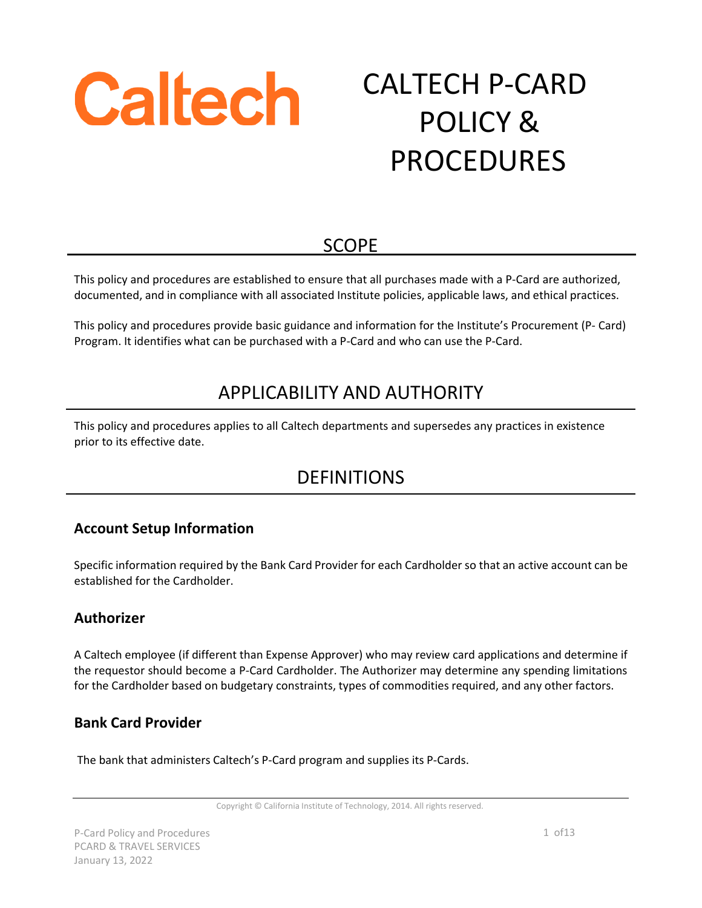

# CALTECH P-CARD POLICY & PROCEDURES

# **SCOPE**

This policy and procedures are established to ensure that all purchases made with a P-Card are authorized, documented, and in compliance with all associated Institute policies, applicable laws, and ethical practices.

This policy and procedures provide basic guidance and information for the Institute's Procurement (P- Card) Program. It identifies what can be purchased with a P-Card and who can use the P-Card.

# APPLICABILITY AND AUTHORITY

This policy and procedures applies to all Caltech departments and supersedes any practices in existence prior to its effective date.

# DEFINITIONS

## **Account Setup Information**

Specific information required by the Bank Card Provider for each Cardholder so that an active account can be established for the Cardholder.

#### **Authorizer**

A Caltech employee (if different than Expense Approver) who may review card applications and determine if the requestor should become a P-Card Cardholder. The Authorizer may determine any spending limitations for the Cardholder based on budgetary constraints, types of commodities required, and any other factors.

#### **Bank Card Provider**

The bank that administers Caltech's P-Card program and supplies its P-Cards.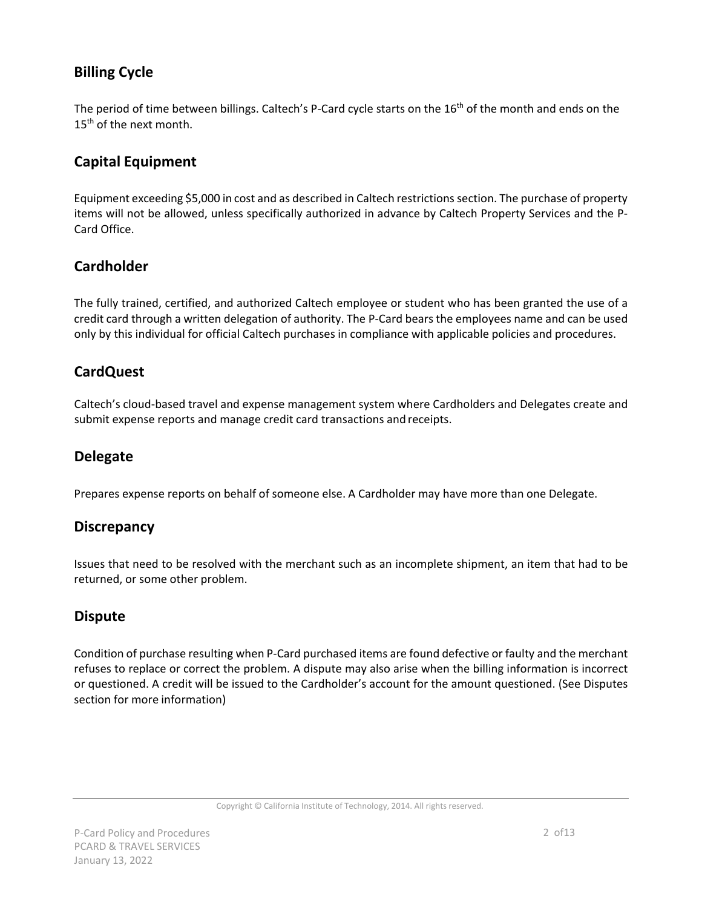## **Billing Cycle**

The period of time between billings. Caltech's P-Card cycle starts on the 16<sup>th</sup> of the month and ends on the 15<sup>th</sup> of the next month.

## **Capital Equipment**

Equipment exceeding \$5,000 in cost and as described in Caltech restrictions section. The purchase of property items will not be allowed, unless specifically authorized in advance by Caltech Property Services and the P-Card Office.

## **Cardholder**

The fully trained, certified, and authorized Caltech employee or student who has been granted the use of a credit card through a written delegation of authority. The P-Card bears the employees name and can be used only by this individual for official Caltech purchases in compliance with applicable policies and procedures.

## **CardQuest**

Caltech's cloud-based travel and expense management system where Cardholders and Delegates create and submit expense reports and manage credit card transactions and receipts.

## **Delegate**

Prepares expense reports on behalf of someone else. A Cardholder may have more than one Delegate.

## **Discrepancy**

Issues that need to be resolved with the merchant such as an incomplete shipment, an item that had to be returned, or some other problem.

## **Dispute**

Condition of purchase resulting when P-Card purchased items are found defective or faulty and the merchant refuses to replace or correct the problem. A dispute may also arise when the billing information is incorrect or questioned. A credit will be issued to the Cardholder's account for the amount questioned. (See Disputes section for more information)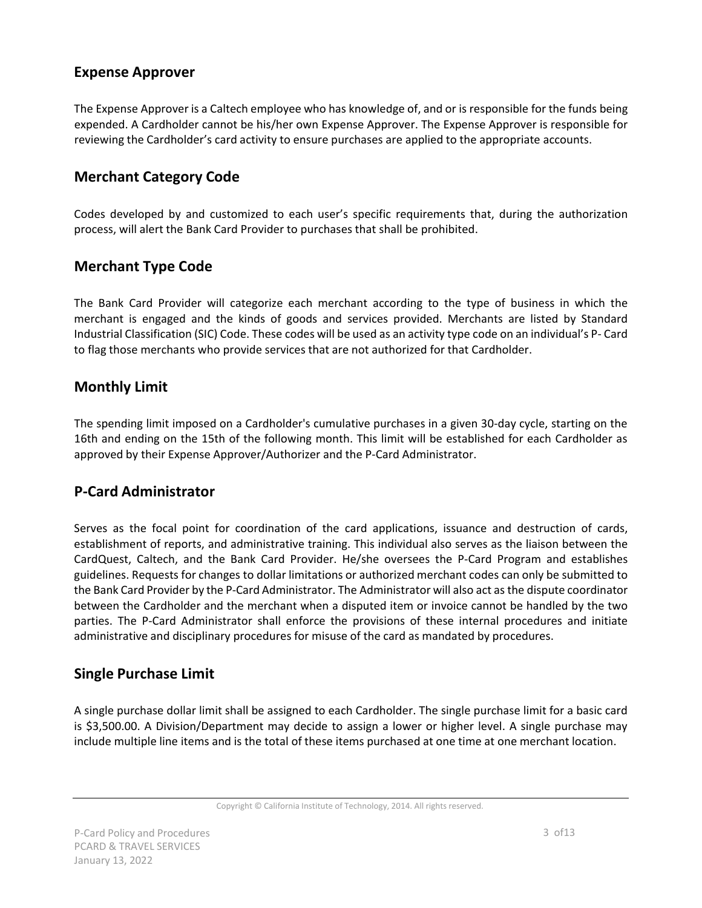## **Expense Approver**

The Expense Approver is a Caltech employee who has knowledge of, and or is responsible for the funds being expended. A Cardholder cannot be his/her own Expense Approver. The Expense Approver is responsible for reviewing the Cardholder's card activity to ensure purchases are applied to the appropriate accounts.

## **Merchant Category Code**

Codes developed by and customized to each user's specific requirements that, during the authorization process, will alert the Bank Card Provider to purchases that shall be prohibited.

## **Merchant Type Code**

The Bank Card Provider will categorize each merchant according to the type of business in which the merchant is engaged and the kinds of goods and services provided. Merchants are listed by Standard Industrial Classification (SIC) Code. These codes will be used as an activity type code on an individual's P- Card to flag those merchants who provide services that are not authorized for that Cardholder.

## **Monthly Limit**

The spending limit imposed on a Cardholder's cumulative purchases in a given 30-day cycle, starting on the 16th and ending on the 15th of the following month. This limit will be established for each Cardholder as approved by their Expense Approver/Authorizer and the P-Card Administrator.

## **P-Card Administrator**

Serves as the focal point for coordination of the card applications, issuance and destruction of cards, establishment of reports, and administrative training. This individual also serves as the liaison between the CardQuest, Caltech, and the Bank Card Provider. He/she oversees the P-Card Program and establishes guidelines. Requests for changes to dollar limitations or authorized merchant codes can only be submitted to the Bank Card Provider by the P-Card Administrator. The Administrator will also act asthe dispute coordinator between the Cardholder and the merchant when a disputed item or invoice cannot be handled by the two parties. The P-Card Administrator shall enforce the provisions of these internal procedures and initiate administrative and disciplinary procedures for misuse of the card as mandated by procedures.

## **Single Purchase Limit**

A single purchase dollar limit shall be assigned to each Cardholder. The single purchase limit for a basic card is \$3,500.00. A Division/Department may decide to assign a lower or higher level. A single purchase may include multiple line items and is the total of these items purchased at one time at one merchant location.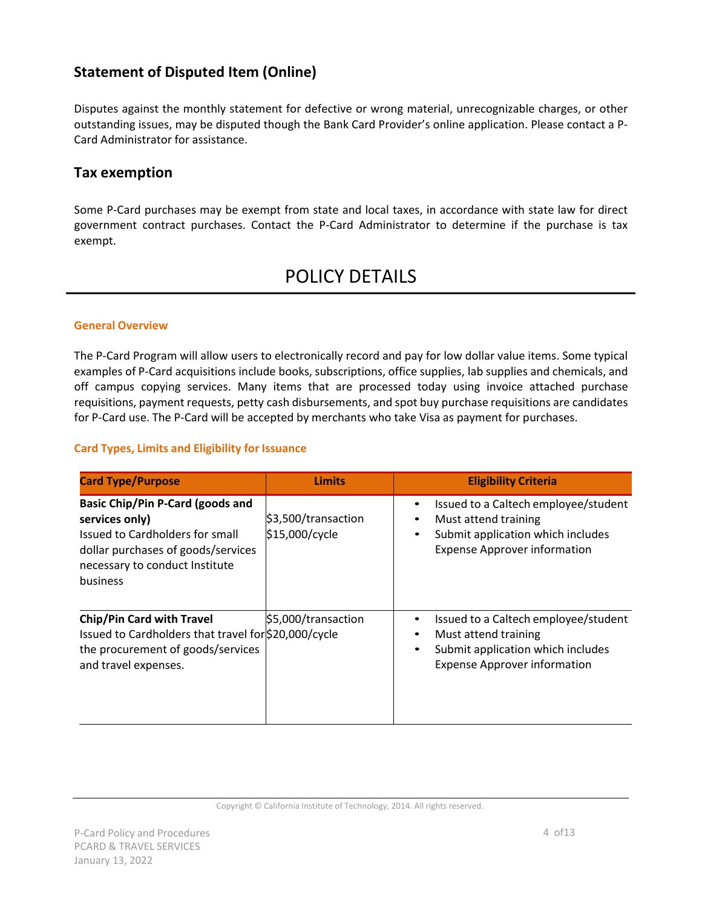## **Statement of Disputed Item (Online)**

Disputes against the monthly statement for defective or wrong material, unrecognizable charges, or other outstanding issues, may be disputed though the Bank Card Provider's online application. Please contact a P-Card Administrator for assistance.

## **Tax exemption**

Some P-Card purchases may be exempt from state and local taxes, in accordance with state law for direct government contract purchases. Contact the P-Card Administrator to determine if the purchase is tax exempt.

## POLICY DETAILS

#### **General Overview**

The P-Card Program will allow users to electronically record and pay for low dollar value items. Some typical examples of P-Card acquisitions include books, subscriptions, office supplies, lab supplies and chemicals, and off campus copying services. Many items that are processed today using invoice attached purchase requisitions, payment requests, petty cash disbursements, and spot buy purchase requisitions are candidates for P-Card use. The P-Card will be accepted by merchants who take Visa as payment for purchases.

#### **Card Types, Limits and Eligibility for Issuance**

| <b>Card Type/Purpose</b>                                                                                                                                                         | <b>Limits</b>                         | <b>Eligibility Criteria</b>                                                                                                                                             |
|----------------------------------------------------------------------------------------------------------------------------------------------------------------------------------|---------------------------------------|-------------------------------------------------------------------------------------------------------------------------------------------------------------------------|
| <b>Basic Chip/Pin P-Card (goods and</b><br>services only)<br>Issued to Cardholders for small<br>dollar purchases of goods/services<br>necessary to conduct Institute<br>business | \$3,500/transaction<br>\$15,000/cycle | Issued to a Caltech employee/student<br>٠<br>Must attend training<br>$\bullet$<br>Submit application which includes<br>$\bullet$<br><b>Expense Approver information</b> |
| <b>Chip/Pin Card with Travel</b><br>Issued to Cardholders that travel for \$20,000/cycle<br>the procurement of goods/services<br>and travel expenses.                            | \$5,000/transaction                   | Issued to a Caltech employee/student<br>٠<br>Must attend training<br>٠<br>Submit application which includes<br>$\bullet$<br><b>Expense Approver information</b>         |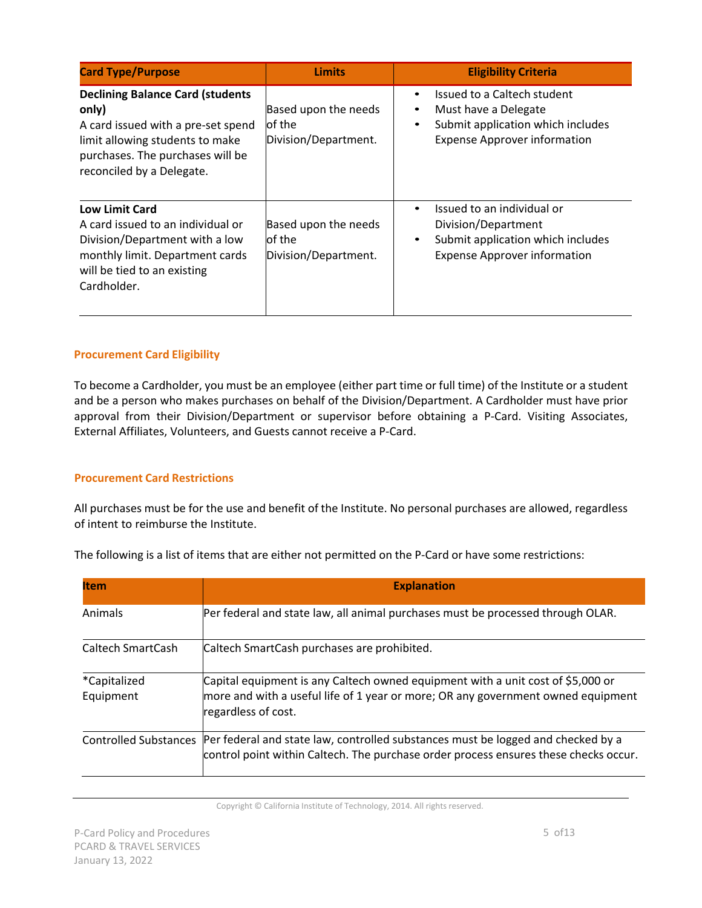| <b>Card Type/Purpose</b>                                                                                                                                                                   | <b>Limits</b>                                          | <b>Eligibility Criteria</b>                                                                                                                       |
|--------------------------------------------------------------------------------------------------------------------------------------------------------------------------------------------|--------------------------------------------------------|---------------------------------------------------------------------------------------------------------------------------------------------------|
| <b>Declining Balance Card (students</b><br>only)<br>A card issued with a pre-set spend<br>limit allowing students to make<br>purchases. The purchases will be<br>reconciled by a Delegate. | Based upon the needs<br>of the<br>Division/Department. | Issued to a Caltech student<br>Must have a Delegate<br>٠<br>Submit application which includes<br>$\bullet$<br><b>Expense Approver information</b> |
| <b>Low Limit Card</b><br>A card issued to an individual or<br>Division/Department with a low<br>monthly limit. Department cards<br>will be tied to an existing<br>Cardholder.              | Based upon the needs<br>of the<br>Division/Department. | Issued to an individual or<br>Division/Department<br>Submit application which includes<br>$\bullet$<br><b>Expense Approver information</b>        |

#### **Procurement Card Eligibility**

To become a Cardholder, you must be an employee (either part time or full time) of the Institute or a student and be a person who makes purchases on behalf of the Division/Department. A Cardholder must have prior approval from their Division/Department or supervisor before obtaining a P-Card. Visiting Associates, External Affiliates, Volunteers, and Guests cannot receive a P-Card.

#### **Procurement Card Restrictions**

All purchases must be for the use and benefit of the Institute. No personal purchases are allowed, regardless of intent to reimburse the Institute.

The following is a list of items that are either not permitted on the P-Card or have some restrictions:

| <b>Item</b>                       | <b>Explanation</b>                                                                                                                                                                              |
|-----------------------------------|-------------------------------------------------------------------------------------------------------------------------------------------------------------------------------------------------|
| Animals                           | Per federal and state law, all animal purchases must be processed through OLAR.                                                                                                                 |
| Caltech SmartCash                 | Caltech SmartCash purchases are prohibited.                                                                                                                                                     |
| <i>*</i> Capitalized<br>Equipment | Capital equipment is any Caltech owned equipment with a unit cost of \$5,000 or<br>more and with a useful life of 1 year or more; OR any government owned equipment<br>regardless of cost.      |
|                                   | Controlled Substances  Per federal and state law, controlled substances must be logged and checked by a<br>control point within Caltech. The purchase order process ensures these checks occur. |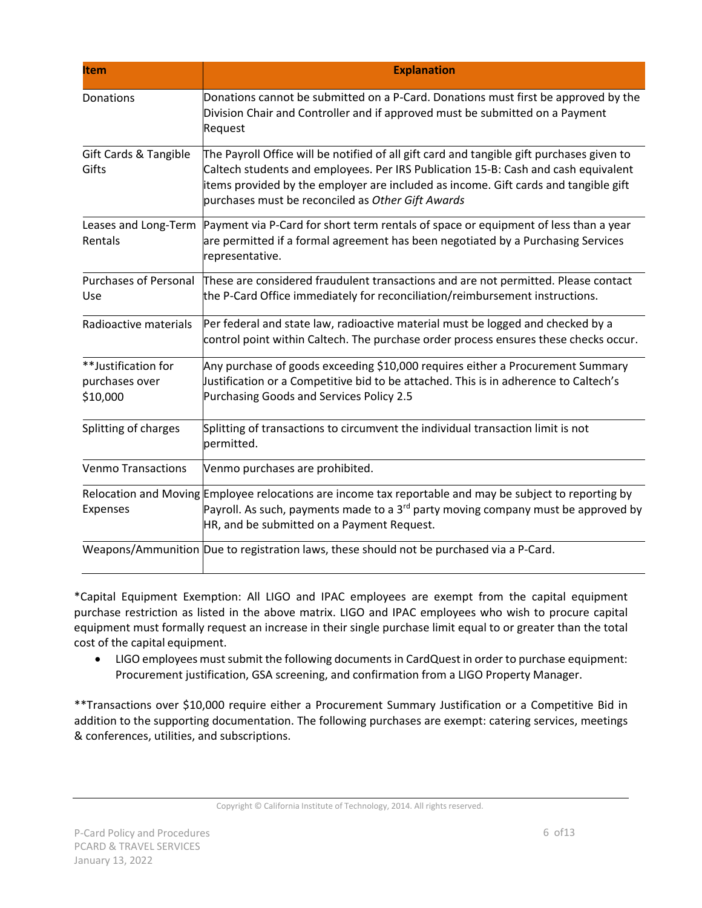| <b>Item</b>                                       | <b>Explanation</b>                                                                                                                                                                                                                                                                                                          |
|---------------------------------------------------|-----------------------------------------------------------------------------------------------------------------------------------------------------------------------------------------------------------------------------------------------------------------------------------------------------------------------------|
| Donations                                         | Donations cannot be submitted on a P-Card. Donations must first be approved by the<br>Division Chair and Controller and if approved must be submitted on a Payment<br>Request                                                                                                                                               |
| Gift Cards & Tangible<br>Gifts                    | The Payroll Office will be notified of all gift card and tangible gift purchases given to<br>Caltech students and employees. Per IRS Publication 15-B: Cash and cash equivalent<br>items provided by the employer are included as income. Gift cards and tangible gift<br>purchases must be reconciled as Other Gift Awards |
| Rentals                                           | Leases and Long-Term Payment via P-Card for short term rentals of space or equipment of less than a year<br>are permitted if a formal agreement has been negotiated by a Purchasing Services<br>representative.                                                                                                             |
| Use                                               | Purchases of Personal These are considered fraudulent transactions and are not permitted. Please contact<br>the P-Card Office immediately for reconciliation/reimbursement instructions.                                                                                                                                    |
| Radioactive materials                             | Per federal and state law, radioactive material must be logged and checked by a<br>control point within Caltech. The purchase order process ensures these checks occur.                                                                                                                                                     |
| **Justification for<br>purchases over<br>\$10,000 | Any purchase of goods exceeding \$10,000 requires either a Procurement Summary<br>Justification or a Competitive bid to be attached. This is in adherence to Caltech's<br>Purchasing Goods and Services Policy 2.5                                                                                                          |
| Splitting of charges                              | Splitting of transactions to circumvent the individual transaction limit is not<br>permitted.                                                                                                                                                                                                                               |
| <b>Venmo Transactions</b>                         | Venmo purchases are prohibited.                                                                                                                                                                                                                                                                                             |
| Expenses                                          | Relocation and Moving Employee relocations are income tax reportable and may be subject to reporting by<br>Payroll. As such, payments made to a 3 <sup>rd</sup> party moving company must be approved by<br>HR, and be submitted on a Payment Request.                                                                      |
|                                                   | Weapons/Ammunition Due to registration laws, these should not be purchased via a P-Card.                                                                                                                                                                                                                                    |

\*Capital Equipment Exemption: All LIGO and IPAC employees are exempt from the capital equipment purchase restriction as listed in the above matrix. LIGO and IPAC employees who wish to procure capital equipment must formally request an increase in their single purchase limit equal to or greater than the total cost of the capital equipment.

• LIGO employees must submit the following documents in CardQuest in order to purchase equipment: Procurement justification, GSA screening, and confirmation from a LIGO Property Manager.

\*\*Transactions over \$10,000 require either a Procurement Summary Justification or a Competitive Bid in addition to the supporting documentation. The following purchases are exempt: catering services, meetings & conferences, utilities, and subscriptions.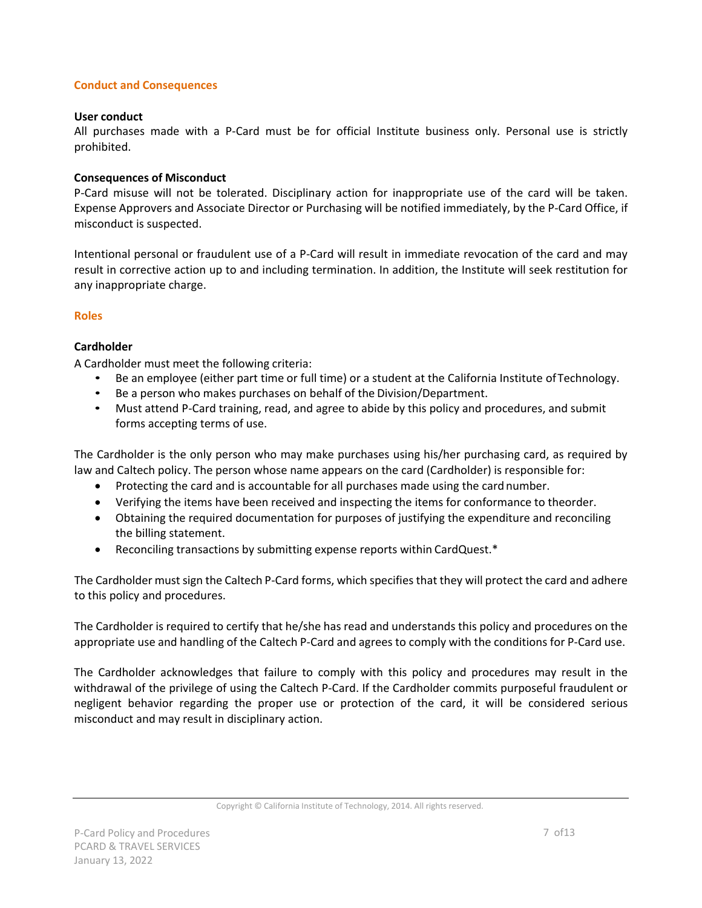#### **Conduct and Consequences**

#### **User conduct**

All purchases made with a P-Card must be for official Institute business only. Personal use is strictly prohibited.

#### **Consequences of Misconduct**

P-Card misuse will not be tolerated. Disciplinary action for inappropriate use of the card will be taken. Expense Approvers and Associate Director or Purchasing will be notified immediately, by the P-Card Office, if misconduct is suspected.

Intentional personal or fraudulent use of a P-Card will result in immediate revocation of the card and may result in corrective action up to and including termination. In addition, the Institute will seek restitution for any inappropriate charge.

#### **Roles**

#### **Cardholder**

A Cardholder must meet the following criteria:

- Be an employee (either part time or full time) or a student at the California Institute ofTechnology.
- Be a person who makes purchases on behalf of the Division/Department.
- Must attend P-Card training, read, and agree to abide by this policy and procedures, and submit forms accepting terms of use.

The Cardholder is the only person who may make purchases using his/her purchasing card, as required by law and Caltech policy. The person whose name appears on the card (Cardholder) is responsible for:

- Protecting the card and is accountable for all purchases made using the card number.
- Verifying the items have been received and inspecting the items for conformance to theorder.
- Obtaining the required documentation for purposes of justifying the expenditure and reconciling the billing statement.
- Reconciling transactions by submitting expense reports within CardQuest.\*

The Cardholder must sign the Caltech P-Card forms, which specifies that they will protect the card and adhere to this policy and procedures.

The Cardholder is required to certify that he/she has read and understands this policy and procedures on the appropriate use and handling of the Caltech P-Card and agrees to comply with the conditions for P-Card use.

The Cardholder acknowledges that failure to comply with this policy and procedures may result in the withdrawal of the privilege of using the Caltech P-Card. If the Cardholder commits purposeful fraudulent or negligent behavior regarding the proper use or protection of the card, it will be considered serious misconduct and may result in disciplinary action.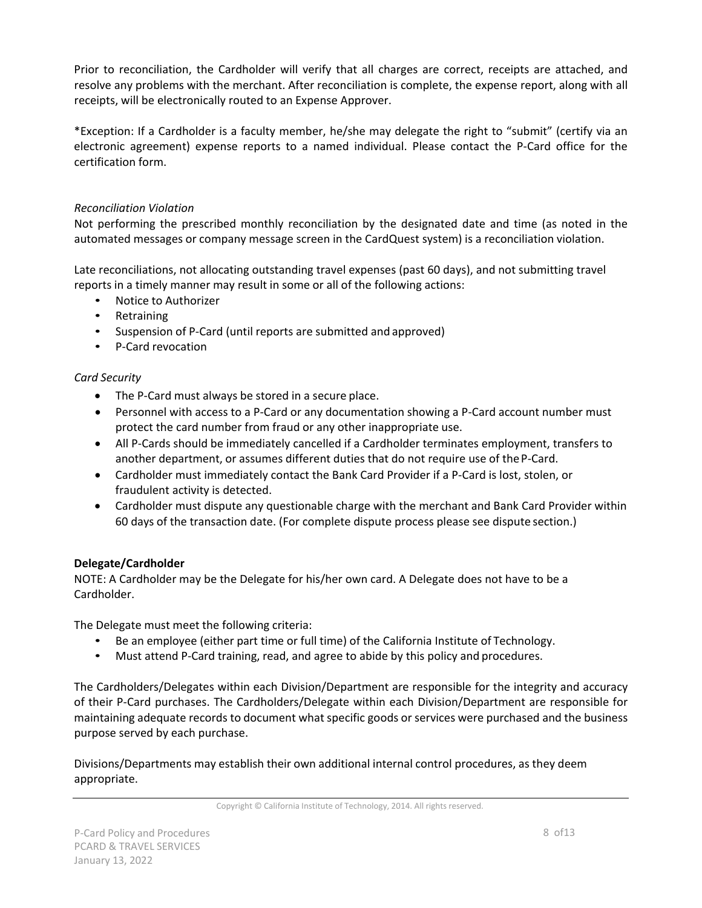Prior to reconciliation, the Cardholder will verify that all charges are correct, receipts are attached, and resolve any problems with the merchant. After reconciliation is complete, the expense report, along with all receipts, will be electronically routed to an Expense Approver.

\*Exception: If a Cardholder is a faculty member, he/she may delegate the right to "submit" (certify via an electronic agreement) expense reports to a named individual. Please contact the P-Card office for the certification form.

#### *Reconciliation Violation*

Not performing the prescribed monthly reconciliation by the designated date and time (as noted in the automated messages or company message screen in the CardQuest system) is a reconciliation violation.

Late reconciliations, not allocating outstanding travel expenses (past 60 days), and not submitting travel reports in a timely manner may result in some or all of the following actions:

- Notice to Authorizer
- Retraining
- Suspension of P-Card (until reports are submitted and approved)
- P-Card revocation

#### *Card Security*

- The P-Card must always be stored in a secure place.
- Personnel with access to a P-Card or any documentation showing a P-Card account number must protect the card number from fraud or any other inappropriate use.
- All P-Cards should be immediately cancelled if a Cardholder terminates employment, transfers to another department, or assumes different duties that do not require use of theP-Card.
- Cardholder must immediately contact the Bank Card Provider if a P-Card is lost, stolen, or fraudulent activity is detected.
- Cardholder must dispute any questionable charge with the merchant and Bank Card Provider within 60 days of the transaction date. (For complete dispute process please see dispute section.)

#### **Delegate/Cardholder**

NOTE: A Cardholder may be the Delegate for his/her own card. A Delegate does not have to be a Cardholder.

The Delegate must meet the following criteria:

- Be an employee (either part time or full time) of the California Institute of Technology.
- Must attend P-Card training, read, and agree to abide by this policy and procedures.

The Cardholders/Delegates within each Division/Department are responsible for the integrity and accuracy of their P-Card purchases. The Cardholders/Delegate within each Division/Department are responsible for maintaining adequate records to document what specific goods or services were purchased and the business purpose served by each purchase.

Divisions/Departments may establish their own additional internal control procedures, as they deem appropriate.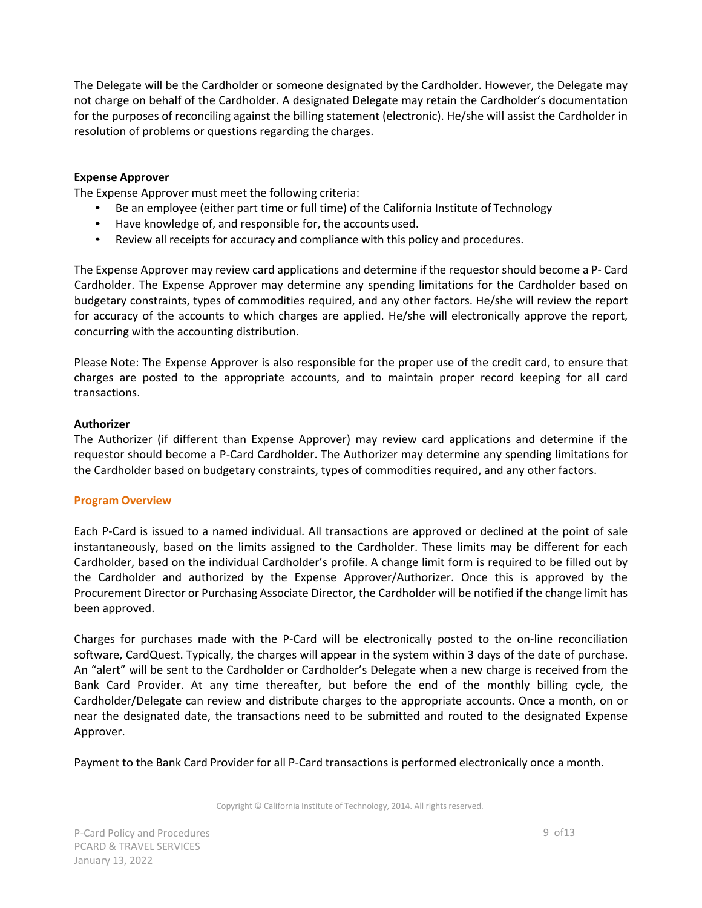The Delegate will be the Cardholder or someone designated by the Cardholder. However, the Delegate may not charge on behalf of the Cardholder. A designated Delegate may retain the Cardholder's documentation for the purposes of reconciling against the billing statement (electronic). He/she will assist the Cardholder in resolution of problems or questions regarding the charges.

#### **Expense Approver**

The Expense Approver must meet the following criteria:

- Be an employee (either part time or full time) of the California Institute of Technology
- Have knowledge of, and responsible for, the accounts used.
- Review all receipts for accuracy and compliance with this policy and procedures.

The Expense Approver may review card applications and determine if the requestor should become a P- Card Cardholder. The Expense Approver may determine any spending limitations for the Cardholder based on budgetary constraints, types of commodities required, and any other factors. He/she will review the report for accuracy of the accounts to which charges are applied. He/she will electronically approve the report, concurring with the accounting distribution.

Please Note: The Expense Approver is also responsible for the proper use of the credit card, to ensure that charges are posted to the appropriate accounts, and to maintain proper record keeping for all card transactions.

#### **Authorizer**

The Authorizer (if different than Expense Approver) may review card applications and determine if the requestor should become a P-Card Cardholder. The Authorizer may determine any spending limitations for the Cardholder based on budgetary constraints, types of commodities required, and any other factors.

#### **Program Overview**

Each P-Card is issued to a named individual. All transactions are approved or declined at the point of sale instantaneously, based on the limits assigned to the Cardholder. These limits may be different for each Cardholder, based on the individual Cardholder's profile. A change limit form is required to be filled out by the Cardholder and authorized by the Expense Approver/Authorizer. Once this is approved by the Procurement Director or Purchasing Associate Director, the Cardholder will be notified if the change limit has been approved.

Charges for purchases made with the P-Card will be electronically posted to the on-line reconciliation software, CardQuest. Typically, the charges will appear in the system within 3 days of the date of purchase. An "alert" will be sent to the Cardholder or Cardholder's Delegate when a new charge is received from the Bank Card Provider. At any time thereafter, but before the end of the monthly billing cycle, the Cardholder/Delegate can review and distribute charges to the appropriate accounts. Once a month, on or near the designated date, the transactions need to be submitted and routed to the designated Expense Approver.

Payment to the Bank Card Provider for all P-Card transactions is performed electronically once a month.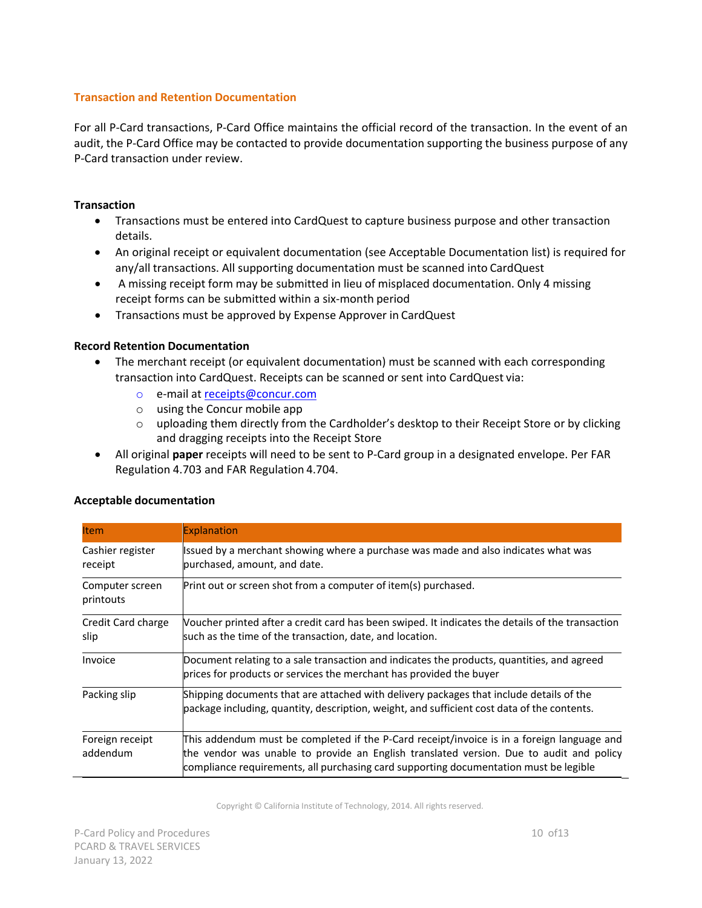#### **Transaction and Retention Documentation**

For all P-Card transactions, P-Card Office maintains the official record of the transaction. In the event of an audit, the P-Card Office may be contacted to provide documentation supporting the business purpose of any P-Card transaction under review.

#### **Transaction**

- Transactions must be entered into CardQuest to capture business purpose and other transaction details.
- An original receipt or equivalent documentation (see Acceptable Documentation list) is required for any/all transactions. All supporting documentation must be scanned into CardQuest
- A missing receipt form may be submitted in lieu of misplaced documentation. Only 4 missing receipt forms can be submitted within a six-month period
- Transactions must be approved by Expense Approver in CardQuest

#### **Record Retention Documentation**

- The merchant receipt (or equivalent documentation) must be scanned with each corresponding transaction into CardQuest. Receipts can be scanned or sent into CardQuest via:
	- o e-mail at [receipts@concur.com](mailto:receipts@concur.com)
	- o using the Concur mobile app
	- $\circ$  uploading them directly from the Cardholder's desktop to their Receipt Store or by clicking and dragging receipts into the Receipt Store
- All original **paper** receipts will need to be sent to P-Card group in a designated envelope. Per FAR Regulation 4.703 and FAR Regulation 4.704.

|  | <b>Acceptable documentation</b> |
|--|---------------------------------|
|--|---------------------------------|

| <b>Item</b>                  | Explanation                                                                                                                                                                                                                                                                    |
|------------------------------|--------------------------------------------------------------------------------------------------------------------------------------------------------------------------------------------------------------------------------------------------------------------------------|
| Cashier register<br>receipt  | Issued by a merchant showing where a purchase was made and also indicates what was<br>purchased, amount, and date.                                                                                                                                                             |
| Computer screen<br>printouts | Print out or screen shot from a computer of item(s) purchased.                                                                                                                                                                                                                 |
| Credit Card charge<br>slip   | Voucher printed after a credit card has been swiped. It indicates the details of the transaction<br>such as the time of the transaction, date, and location.                                                                                                                   |
| Invoice                      | Document relating to a sale transaction and indicates the products, quantities, and agreed<br>prices for products or services the merchant has provided the buyer                                                                                                              |
| Packing slip                 | Shipping documents that are attached with delivery packages that include details of the<br>package including, quantity, description, weight, and sufficient cost data of the contents.                                                                                         |
| Foreign receipt<br>addendum  | This addendum must be completed if the P-Card receipt/invoice is in a foreign language and<br>the vendor was unable to provide an English translated version. Due to audit and policy<br>compliance requirements, all purchasing card supporting documentation must be legible |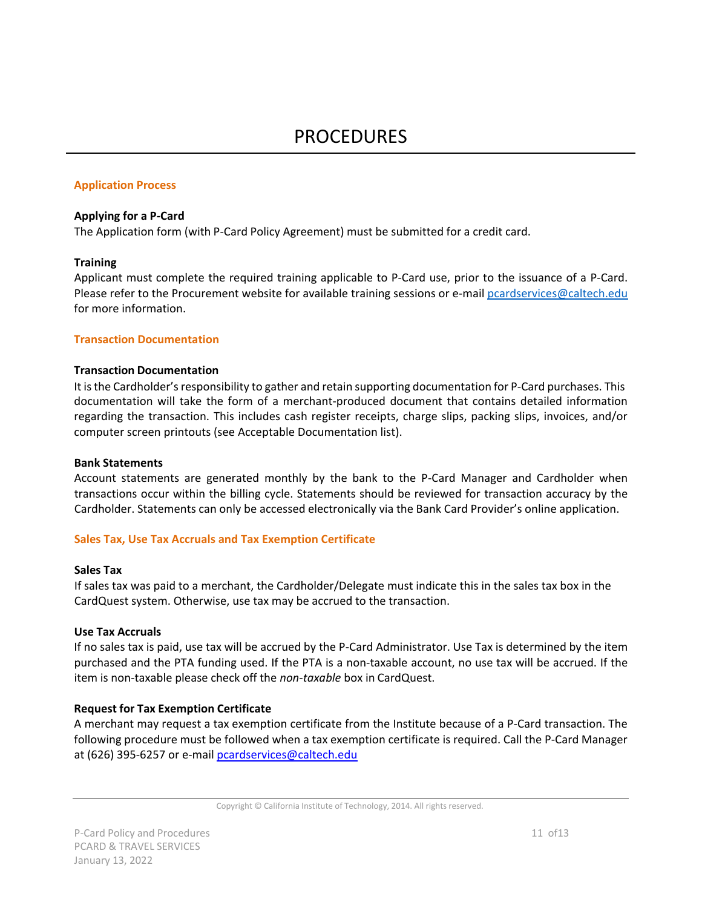#### **Application Process**

#### **Applying for a P-Card**

The Application form (with P-Card Policy Agreement) must be submitted for a credit card.

#### **Training**

Applicant must complete the required training applicable to P-Card use, prior to the issuance of a P-Card. Please refer to the Procurement website for available training sessions or e-mail [pcardservices@caltech.edu](mailto:pcardservices@caltech.edu) for more information.

#### **Transaction Documentation**

#### **Transaction Documentation**

It is the Cardholder's responsibility to gather and retain supporting documentation for P-Card purchases. This documentation will take the form of a merchant-produced document that contains detailed information regarding the transaction. This includes cash register receipts, charge slips, packing slips, invoices, and/or computer screen printouts (see Acceptable Documentation list).

#### **Bank Statements**

Account statements are generated monthly by the bank to the P-Card Manager and Cardholder when transactions occur within the billing cycle. Statements should be reviewed for transaction accuracy by the Cardholder. Statements can only be accessed electronically via the Bank Card Provider's online application.

#### **Sales Tax, Use Tax Accruals and Tax Exemption Certificate**

#### **Sales Tax**

If sales tax was paid to a merchant, the Cardholder/Delegate must indicate this in the sales tax box in the CardQuest system. Otherwise, use tax may be accrued to the transaction.

#### **Use Tax Accruals**

If no sales tax is paid, use tax will be accrued by the P-Card Administrator. Use Tax is determined by the item purchased and the PTA funding used. If the PTA is a non-taxable account, no use tax will be accrued. If the item is non-taxable please check off the *non*-*taxable* box in CardQuest.

#### **Request for Tax Exemption Certificate**

A merchant may request a tax exemption certificate from the Institute because of a P-Card transaction. The following procedure must be followed when a tax exemption certificate is required. Call the P-Card Manager at (626) 395-6257 or e-mail [pcardservices@caltech.edu](mailto:pcardservices@caltech.edu)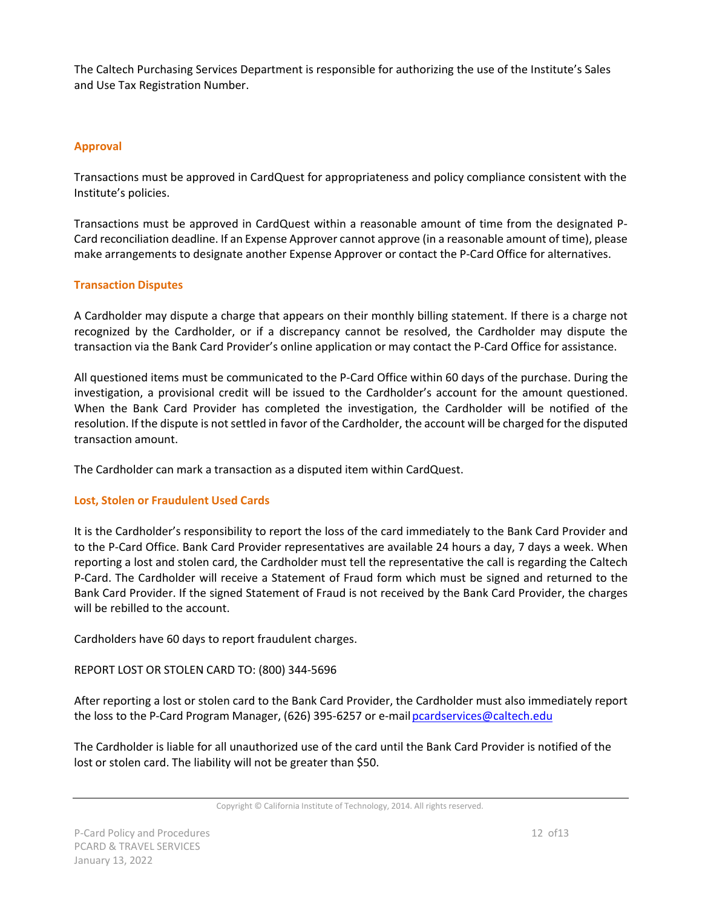The Caltech Purchasing Services Department is responsible for authorizing the use of the Institute's Sales and Use Tax Registration Number.

#### **Approval**

Transactions must be approved in CardQuest for appropriateness and policy compliance consistent with the Institute's policies.

Transactions must be approved in CardQuest within a reasonable amount of time from the designated P-Card reconciliation deadline. If an Expense Approver cannot approve (in a reasonable amount of time), please make arrangements to designate another Expense Approver or contact the P-Card Office for alternatives.

#### **Transaction Disputes**

A Cardholder may dispute a charge that appears on their monthly billing statement. If there is a charge not recognized by the Cardholder, or if a discrepancy cannot be resolved, the Cardholder may dispute the transaction via the Bank Card Provider's online application or may contact the P-Card Office for assistance.

All questioned items must be communicated to the P-Card Office within 60 days of the purchase. During the investigation, a provisional credit will be issued to the Cardholder's account for the amount questioned. When the Bank Card Provider has completed the investigation, the Cardholder will be notified of the resolution. If the dispute is not settled in favor of the Cardholder, the account will be charged for the disputed transaction amount.

The Cardholder can mark a transaction as a disputed item within CardQuest.

#### **Lost, Stolen or Fraudulent Used Cards**

It is the Cardholder's responsibility to report the loss of the card immediately to the Bank Card Provider and to the P-Card Office. Bank Card Provider representatives are available 24 hours a day, 7 days a week. When reporting a lost and stolen card, the Cardholder must tell the representative the call is regarding the Caltech P-Card. The Cardholder will receive a Statement of Fraud form which must be signed and returned to the Bank Card Provider. If the signed Statement of Fraud is not received by the Bank Card Provider, the charges will be rebilled to the account.

Cardholders have 60 days to report fraudulent charges.

REPORT LOST OR STOLEN CARD TO: (800) 344-5696

After reporting a lost or stolen card to the Bank Card Provider, the Cardholder must also immediately report the loss to the P-Card Program Manager, (626) 395-6257 or e-mail pcardservices@caltech.edu

The Cardholder is liable for all unauthorized use of the card until the Bank Card Provider is notified of the lost or stolen card. The liability will not be greater than \$50.